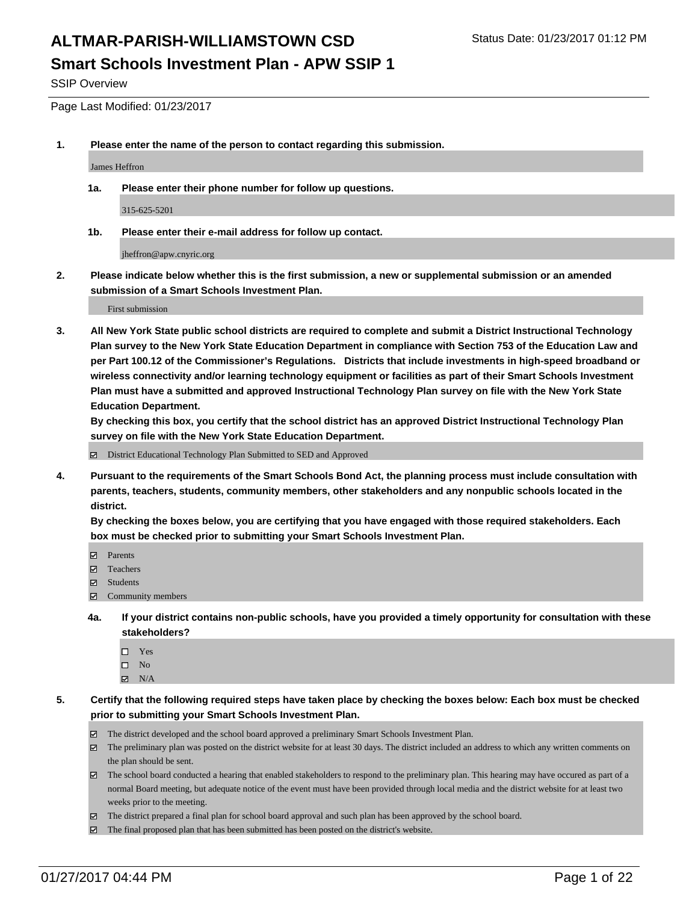SSIP Overview

Page Last Modified: 01/23/2017

**1. Please enter the name of the person to contact regarding this submission.**

James Heffron

**1a. Please enter their phone number for follow up questions.**

315-625-5201

**1b. Please enter their e-mail address for follow up contact.**

jheffron@apw.cnyric.org

**2. Please indicate below whether this is the first submission, a new or supplemental submission or an amended submission of a Smart Schools Investment Plan.**

First submission

**3. All New York State public school districts are required to complete and submit a District Instructional Technology Plan survey to the New York State Education Department in compliance with Section 753 of the Education Law and per Part 100.12 of the Commissioner's Regulations. Districts that include investments in high-speed broadband or wireless connectivity and/or learning technology equipment or facilities as part of their Smart Schools Investment Plan must have a submitted and approved Instructional Technology Plan survey on file with the New York State Education Department.** 

**By checking this box, you certify that the school district has an approved District Instructional Technology Plan survey on file with the New York State Education Department.**

District Educational Technology Plan Submitted to SED and Approved

**4. Pursuant to the requirements of the Smart Schools Bond Act, the planning process must include consultation with parents, teachers, students, community members, other stakeholders and any nonpublic schools located in the district.** 

**By checking the boxes below, you are certifying that you have engaged with those required stakeholders. Each box must be checked prior to submitting your Smart Schools Investment Plan.**

- **Parents**
- Teachers
- **冈** Students
- Community members
- **4a. If your district contains non-public schools, have you provided a timely opportunity for consultation with these stakeholders?**
	- □ Yes
	- $\square$  No
	- $\boxtimes$  N/A
- **5. Certify that the following required steps have taken place by checking the boxes below: Each box must be checked prior to submitting your Smart Schools Investment Plan.**
	- The district developed and the school board approved a preliminary Smart Schools Investment Plan.
	- The preliminary plan was posted on the district website for at least 30 days. The district included an address to which any written comments on the plan should be sent.
	- The school board conducted a hearing that enabled stakeholders to respond to the preliminary plan. This hearing may have occured as part of a normal Board meeting, but adequate notice of the event must have been provided through local media and the district website for at least two weeks prior to the meeting.
	- The district prepared a final plan for school board approval and such plan has been approved by the school board.
	- $\boxtimes$  The final proposed plan that has been submitted has been posted on the district's website.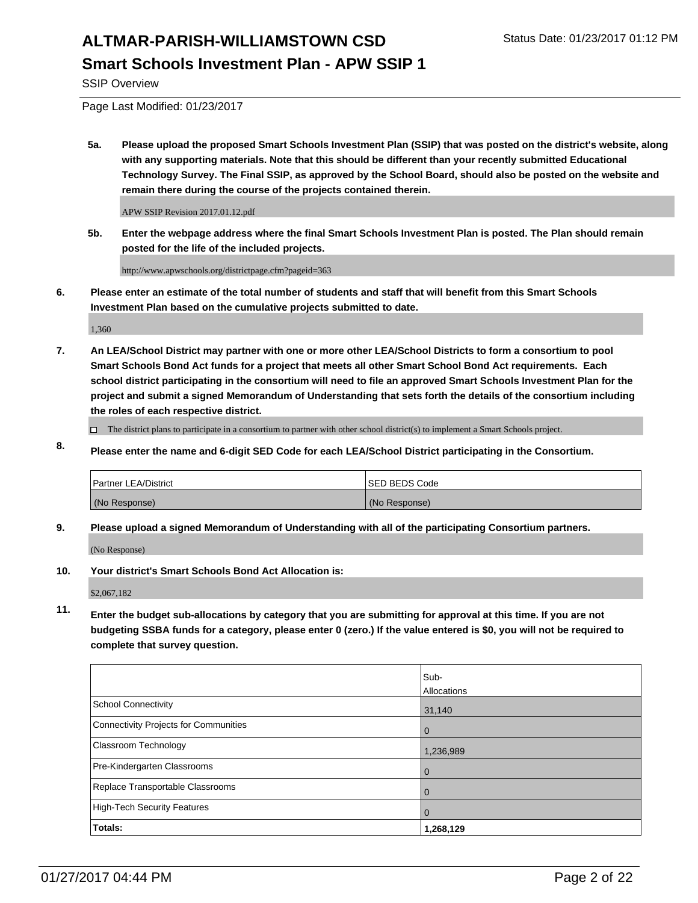SSIP Overview

Page Last Modified: 01/23/2017

**5a. Please upload the proposed Smart Schools Investment Plan (SSIP) that was posted on the district's website, along with any supporting materials. Note that this should be different than your recently submitted Educational Technology Survey. The Final SSIP, as approved by the School Board, should also be posted on the website and remain there during the course of the projects contained therein.**

APW SSIP Revision 2017.01.12.pdf

**5b. Enter the webpage address where the final Smart Schools Investment Plan is posted. The Plan should remain posted for the life of the included projects.**

http://www.apwschools.org/districtpage.cfm?pageid=363

**6. Please enter an estimate of the total number of students and staff that will benefit from this Smart Schools Investment Plan based on the cumulative projects submitted to date.**

1,360

- **7. An LEA/School District may partner with one or more other LEA/School Districts to form a consortium to pool Smart Schools Bond Act funds for a project that meets all other Smart School Bond Act requirements. Each school district participating in the consortium will need to file an approved Smart Schools Investment Plan for the project and submit a signed Memorandum of Understanding that sets forth the details of the consortium including the roles of each respective district.**
	- $\Box$  The district plans to participate in a consortium to partner with other school district(s) to implement a Smart Schools project.
- **8. Please enter the name and 6-digit SED Code for each LEA/School District participating in the Consortium.**

| <b>Partner LEA/District</b> | <b>ISED BEDS Code</b> |
|-----------------------------|-----------------------|
| (No Response)               | (No Response)         |

**9. Please upload a signed Memorandum of Understanding with all of the participating Consortium partners.**

(No Response)

**10. Your district's Smart Schools Bond Act Allocation is:**

\$2,067,182

**11. Enter the budget sub-allocations by category that you are submitting for approval at this time. If you are not budgeting SSBA funds for a category, please enter 0 (zero.) If the value entered is \$0, you will not be required to complete that survey question.**

|                                       | Sub-        |
|---------------------------------------|-------------|
|                                       | Allocations |
| <b>School Connectivity</b>            | 31,140      |
| Connectivity Projects for Communities | $\Omega$    |
| <b>Classroom Technology</b>           | 1,236,989   |
| Pre-Kindergarten Classrooms           | 0           |
| Replace Transportable Classrooms      |             |
| High-Tech Security Features           | 0           |
| <b>Totals:</b>                        | 1,268,129   |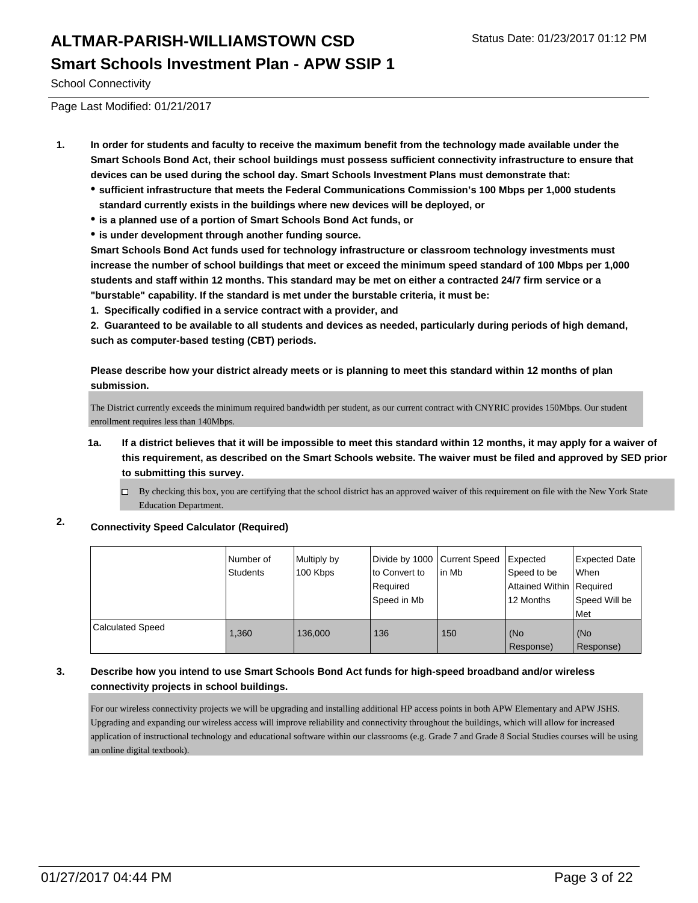School Connectivity

Page Last Modified: 01/21/2017

- **1. In order for students and faculty to receive the maximum benefit from the technology made available under the Smart Schools Bond Act, their school buildings must possess sufficient connectivity infrastructure to ensure that devices can be used during the school day. Smart Schools Investment Plans must demonstrate that:**
	- **sufficient infrastructure that meets the Federal Communications Commission's 100 Mbps per 1,000 students standard currently exists in the buildings where new devices will be deployed, or**
	- **is a planned use of a portion of Smart Schools Bond Act funds, or**
	- **is under development through another funding source.**

**Smart Schools Bond Act funds used for technology infrastructure or classroom technology investments must increase the number of school buildings that meet or exceed the minimum speed standard of 100 Mbps per 1,000 students and staff within 12 months. This standard may be met on either a contracted 24/7 firm service or a "burstable" capability. If the standard is met under the burstable criteria, it must be:**

**1. Specifically codified in a service contract with a provider, and**

**2. Guaranteed to be available to all students and devices as needed, particularly during periods of high demand, such as computer-based testing (CBT) periods.**

**Please describe how your district already meets or is planning to meet this standard within 12 months of plan submission.**

The District currently exceeds the minimum required bandwidth per student, as our current contract with CNYRIC provides 150Mbps. Our student enrollment requires less than 140Mbps.

- **1a. If a district believes that it will be impossible to meet this standard within 12 months, it may apply for a waiver of this requirement, as described on the Smart Schools website. The waiver must be filed and approved by SED prior to submitting this survey.**
	- By checking this box, you are certifying that the school district has an approved waiver of this requirement on file with the New York State Education Department.

### **2. Connectivity Speed Calculator (Required)**

|                  | Number of<br><b>Students</b> | Multiply by<br>100 Kbps | Divide by 1000 Current Speed<br>to Convert to<br>Required<br>Speed in Mb | lin Mb | Expected<br>Speed to be<br>Attained Within   Required<br>12 Months | Expected Date<br><b>When</b><br>Speed Will be<br>Met |
|------------------|------------------------------|-------------------------|--------------------------------------------------------------------------|--------|--------------------------------------------------------------------|------------------------------------------------------|
| Calculated Speed | 1.360                        | 136,000                 | 136                                                                      | 150    | (No<br>Response)                                                   | l (No<br>Response)                                   |

#### **3. Describe how you intend to use Smart Schools Bond Act funds for high-speed broadband and/or wireless connectivity projects in school buildings.**

For our wireless connectivity projects we will be upgrading and installing additional HP access points in both APW Elementary and APW JSHS. Upgrading and expanding our wireless access will improve reliability and connectivity throughout the buildings, which will allow for increased application of instructional technology and educational software within our classrooms (e.g. Grade 7 and Grade 8 Social Studies courses will be using an online digital textbook).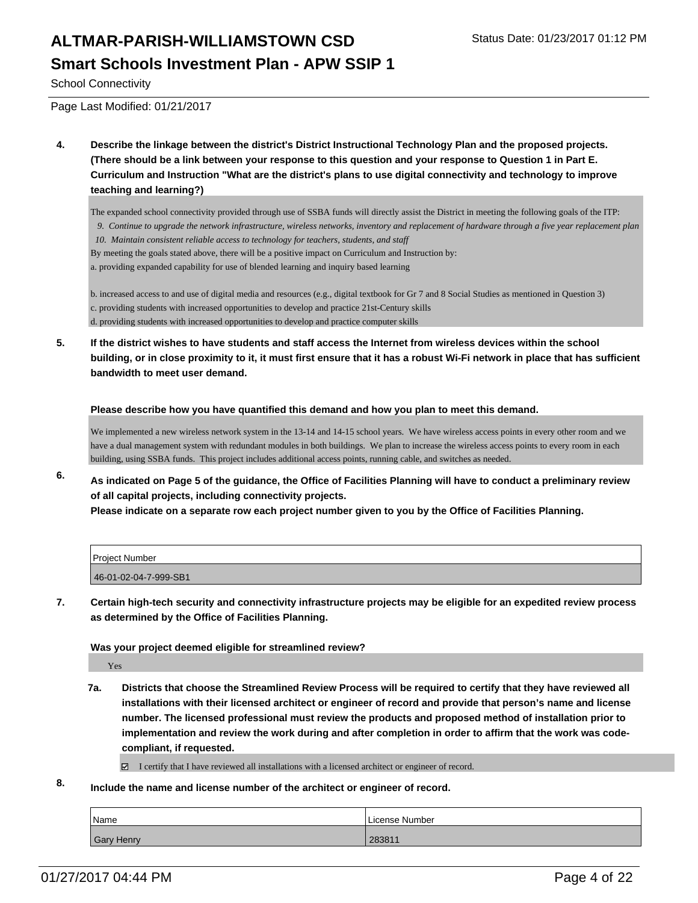School Connectivity

Page Last Modified: 01/21/2017

**4. Describe the linkage between the district's District Instructional Technology Plan and the proposed projects. (There should be a link between your response to this question and your response to Question 1 in Part E. Curriculum and Instruction "What are the district's plans to use digital connectivity and technology to improve teaching and learning?)**

The expanded school connectivity provided through use of SSBA funds will directly assist the District in meeting the following goals of the ITP:

- *9. Continue to upgrade the network infrastructure, wireless networks, inventory and replacement of hardware through a five year replacement plan*
- *10. Maintain consistent reliable access to technology for teachers, students, and staff*
- By meeting the goals stated above, there will be a positive impact on Curriculum and Instruction by:

a. providing expanded capability for use of blended learning and inquiry based learning

b. increased access to and use of digital media and resources (e.g., digital textbook for Gr 7 and 8 Social Studies as mentioned in Question 3) c. providing students with increased opportunities to develop and practice 21st-Century skills d. providing students with increased opportunities to develop and practice computer skills

**5. If the district wishes to have students and staff access the Internet from wireless devices within the school building, or in close proximity to it, it must first ensure that it has a robust Wi-Fi network in place that has sufficient bandwidth to meet user demand.**

#### **Please describe how you have quantified this demand and how you plan to meet this demand.**

We implemented a new wireless network system in the 13-14 and 14-15 school years. We have wireless access points in every other room and we have a dual management system with redundant modules in both buildings. We plan to increase the wireless access points to every room in each building, using SSBA funds. This project includes additional access points, running cable, and switches as needed.

**6. As indicated on Page 5 of the guidance, the Office of Facilities Planning will have to conduct a preliminary review of all capital projects, including connectivity projects.**

**Please indicate on a separate row each project number given to you by the Office of Facilities Planning.**

| <b>Project Number</b> |  |
|-----------------------|--|
| 46-01-02-04-7-999-SB1 |  |

**7. Certain high-tech security and connectivity infrastructure projects may be eligible for an expedited review process as determined by the Office of Facilities Planning.**

**Was your project deemed eligible for streamlined review?**

Yes

- **7a. Districts that choose the Streamlined Review Process will be required to certify that they have reviewed all installations with their licensed architect or engineer of record and provide that person's name and license number. The licensed professional must review the products and proposed method of installation prior to implementation and review the work during and after completion in order to affirm that the work was codecompliant, if requested.**
	- I certify that I have reviewed all installations with a licensed architect or engineer of record.
- **8. Include the name and license number of the architect or engineer of record.**

| Name       | License Number |
|------------|----------------|
| Gary Henry | 283811         |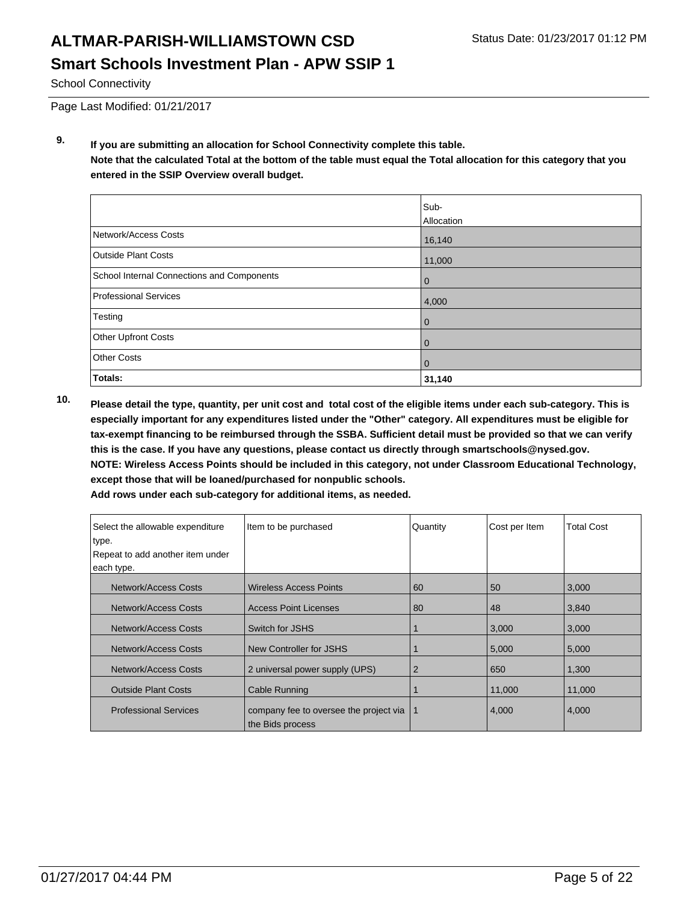School Connectivity

Page Last Modified: 01/21/2017

**9. If you are submitting an allocation for School Connectivity complete this table. Note that the calculated Total at the bottom of the table must equal the Total allocation for this category that you entered in the SSIP Overview overall budget.** 

|                                            | Sub-<br>Allocation |
|--------------------------------------------|--------------------|
| Network/Access Costs                       | 16,140             |
| <b>Outside Plant Costs</b>                 | 11,000             |
| School Internal Connections and Components | $\mathbf 0$        |
| <b>Professional Services</b>               | 4,000              |
| Testing                                    | $\mathbf 0$        |
| <b>Other Upfront Costs</b>                 | 0                  |
| <b>Other Costs</b>                         | $\mathbf 0$        |
| Totals:                                    | 31,140             |

**10. Please detail the type, quantity, per unit cost and total cost of the eligible items under each sub-category. This is especially important for any expenditures listed under the "Other" category. All expenditures must be eligible for tax-exempt financing to be reimbursed through the SSBA. Sufficient detail must be provided so that we can verify this is the case. If you have any questions, please contact us directly through smartschools@nysed.gov. NOTE: Wireless Access Points should be included in this category, not under Classroom Educational Technology, except those that will be loaned/purchased for nonpublic schools.**

| Select the allowable expenditure<br>type. | Item to be purchased                                       | Quantity       | Cost per Item | <b>Total Cost</b> |
|-------------------------------------------|------------------------------------------------------------|----------------|---------------|-------------------|
| Repeat to add another item under          |                                                            |                |               |                   |
| each type.                                |                                                            |                |               |                   |
| Network/Access Costs                      | <b>Wireless Access Points</b>                              | 60             | 50            | 3,000             |
| Network/Access Costs                      | <b>Access Point Licenses</b>                               | 80             | 48            | 3,840             |
| Network/Access Costs                      | Switch for JSHS                                            |                | 3,000         | 3,000             |
| Network/Access Costs                      | New Controller for JSHS                                    |                | 5,000         | 5,000             |
| Network/Access Costs                      | 2 universal power supply (UPS)                             | $\overline{2}$ | 650           | 1,300             |
| <b>Outside Plant Costs</b>                | Cable Running                                              |                | 11,000        | 11,000            |
| <b>Professional Services</b>              | company fee to oversee the project via<br>the Bids process |                | 4,000         | 4,000             |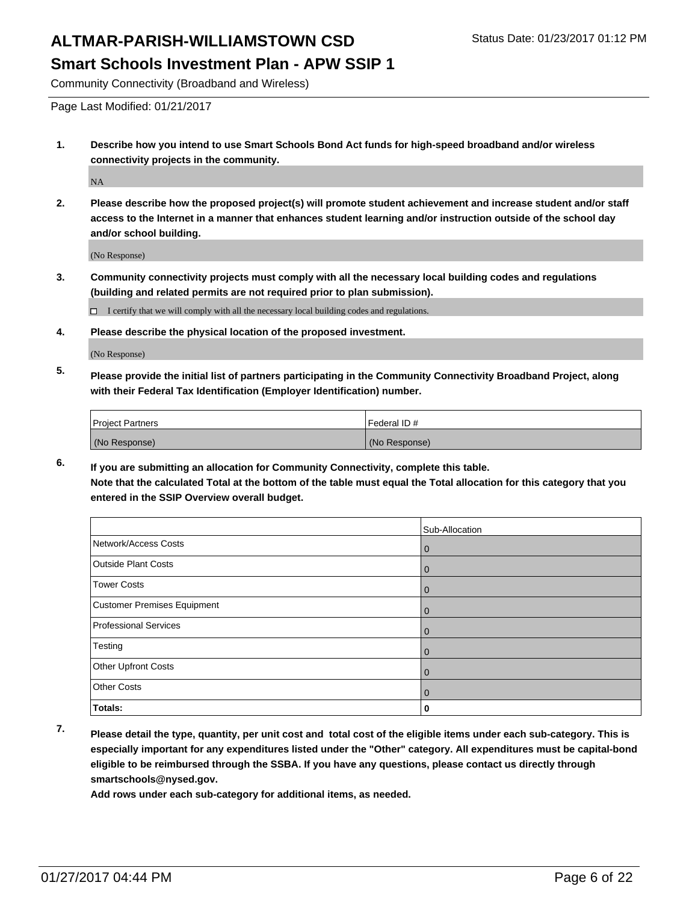Community Connectivity (Broadband and Wireless)

**1. Describe how you intend to use Smart Schools Bond Act funds for high-speed broadband and/or wireless connectivity projects in the community.**

NA

**2. Please describe how the proposed project(s) will promote student achievement and increase student and/or staff access to the Internet in a manner that enhances student learning and/or instruction outside of the school day and/or school building.**

(No Response)

**3. Community connectivity projects must comply with all the necessary local building codes and regulations (building and related permits are not required prior to plan submission).**

 $\Box$  I certify that we will comply with all the necessary local building codes and regulations.

**4. Please describe the physical location of the proposed investment.**

(No Response)

**5. Please provide the initial list of partners participating in the Community Connectivity Broadband Project, along with their Federal Tax Identification (Employer Identification) number.**

| <b>Project Partners</b> | Federal ID#   |
|-------------------------|---------------|
| (No Response)           | (No Response) |

**6. If you are submitting an allocation for Community Connectivity, complete this table. Note that the calculated Total at the bottom of the table must equal the Total allocation for this category that you**

|  |  | entered in the SSIP Overview overall budget. |
|--|--|----------------------------------------------|
|--|--|----------------------------------------------|

|                             | Sub-Allocation |
|-----------------------------|----------------|
| Network/Access Costs        | 0              |
| <b>Outside Plant Costs</b>  | 0              |
| <b>Tower Costs</b>          | 0              |
| Customer Premises Equipment | U              |
| Professional Services       | O              |
| Testing                     | 0              |
| Other Upfront Costs         | 0              |
| <b>Other Costs</b>          | 0              |
| Totals:                     | 0              |

**7. Please detail the type, quantity, per unit cost and total cost of the eligible items under each sub-category. This is especially important for any expenditures listed under the "Other" category. All expenditures must be capital-bond eligible to be reimbursed through the SSBA. If you have any questions, please contact us directly through smartschools@nysed.gov.**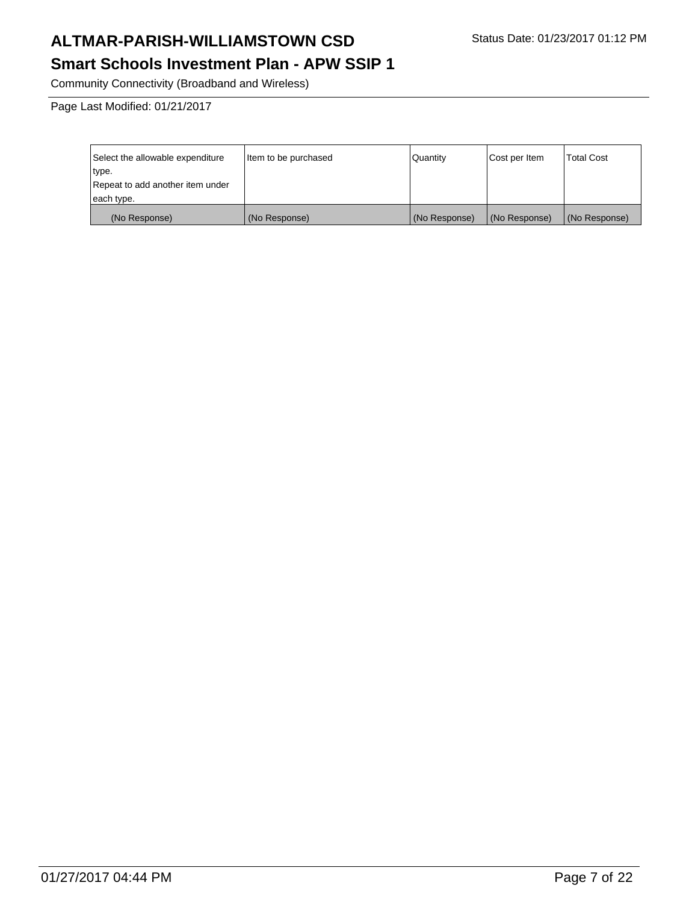Community Connectivity (Broadband and Wireless)

Page Last Modified: 01/21/2017

| Select the allowable expenditure | Item to be purchased | l Quantitv    | Cost per Item | <b>Total Cost</b> |
|----------------------------------|----------------------|---------------|---------------|-------------------|
| type.                            |                      |               |               |                   |
| Repeat to add another item under |                      |               |               |                   |
| each type.                       |                      |               |               |                   |
| (No Response)                    | (No Response)        | (No Response) | (No Response) | (No Response)     |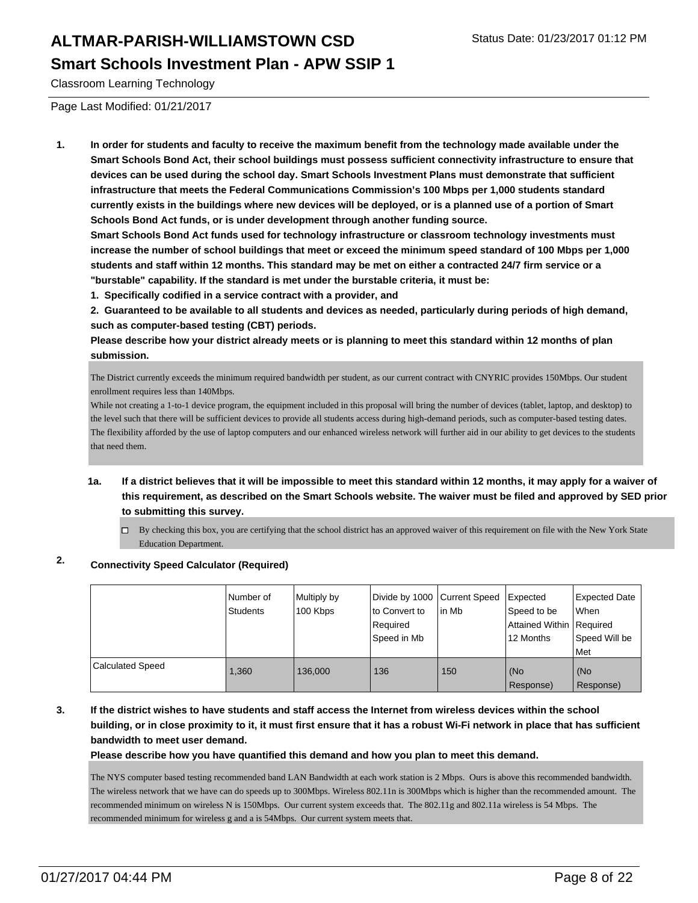Classroom Learning Technology

Page Last Modified: 01/21/2017

**1. In order for students and faculty to receive the maximum benefit from the technology made available under the Smart Schools Bond Act, their school buildings must possess sufficient connectivity infrastructure to ensure that devices can be used during the school day. Smart Schools Investment Plans must demonstrate that sufficient infrastructure that meets the Federal Communications Commission's 100 Mbps per 1,000 students standard currently exists in the buildings where new devices will be deployed, or is a planned use of a portion of Smart Schools Bond Act funds, or is under development through another funding source.**

**Smart Schools Bond Act funds used for technology infrastructure or classroom technology investments must increase the number of school buildings that meet or exceed the minimum speed standard of 100 Mbps per 1,000 students and staff within 12 months. This standard may be met on either a contracted 24/7 firm service or a "burstable" capability. If the standard is met under the burstable criteria, it must be:**

**1. Specifically codified in a service contract with a provider, and**

**2. Guaranteed to be available to all students and devices as needed, particularly during periods of high demand, such as computer-based testing (CBT) periods.**

**Please describe how your district already meets or is planning to meet this standard within 12 months of plan submission.**

The District currently exceeds the minimum required bandwidth per student, as our current contract with CNYRIC provides 150Mbps. Our student enrollment requires less than 140Mbps.

While not creating a 1-to-1 device program, the equipment included in this proposal will bring the number of devices (tablet, laptop, and desktop) to the level such that there will be sufficient devices to provide all students access during high-demand periods, such as computer-based testing dates. The flexibility afforded by the use of laptop computers and our enhanced wireless network will further aid in our ability to get devices to the students that need them.

- **1a. If a district believes that it will be impossible to meet this standard within 12 months, it may apply for a waiver of this requirement, as described on the Smart Schools website. The waiver must be filed and approved by SED prior to submitting this survey.**
	- $\Box$  By checking this box, you are certifying that the school district has an approved waiver of this requirement on file with the New York State Education Department.

### **2. Connectivity Speed Calculator (Required)**

|                         | Number of<br>Students | Multiply by<br>100 Kbps | Divide by 1000 Current Speed<br>lto Convert to<br>Required<br>Speed in Mb | l in Mb | Expected<br>Speed to be<br>Attained Within Required<br>12 Months | <b>Expected Date</b><br><b>When</b><br>Speed Will be<br>l Met |
|-------------------------|-----------------------|-------------------------|---------------------------------------------------------------------------|---------|------------------------------------------------------------------|---------------------------------------------------------------|
| <b>Calculated Speed</b> | 1,360                 | 136,000                 | 136                                                                       | 150     | (No<br>Response)                                                 | l (No<br>Response)                                            |

**3. If the district wishes to have students and staff access the Internet from wireless devices within the school building, or in close proximity to it, it must first ensure that it has a robust Wi-Fi network in place that has sufficient bandwidth to meet user demand.**

**Please describe how you have quantified this demand and how you plan to meet this demand.**

The NYS computer based testing recommended band LAN Bandwidth at each work station is 2 Mbps. Ours is above this recommended bandwidth. The wireless network that we have can do speeds up to 300Mbps. Wireless 802.11n is 300Mbps which is higher than the recommended amount. The recommended minimum on wireless N is 150Mbps. Our current system exceeds that. The 802.11g and 802.11a wireless is 54 Mbps. The recommended minimum for wireless g and a is 54Mbps. Our current system meets that.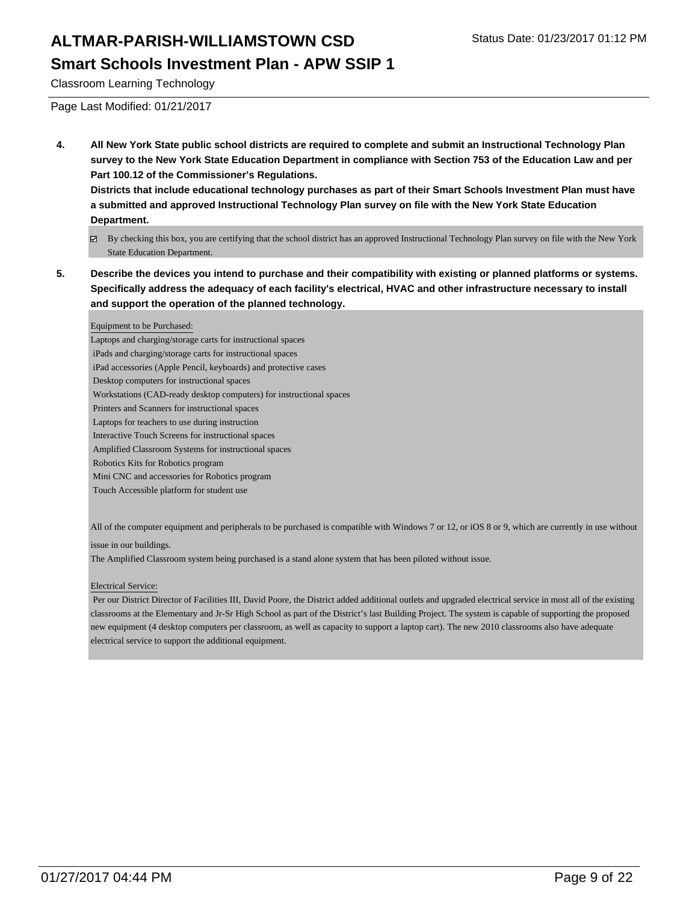Classroom Learning Technology

Page Last Modified: 01/21/2017

**4. All New York State public school districts are required to complete and submit an Instructional Technology Plan survey to the New York State Education Department in compliance with Section 753 of the Education Law and per Part 100.12 of the Commissioner's Regulations.**

**Districts that include educational technology purchases as part of their Smart Schools Investment Plan must have a submitted and approved Instructional Technology Plan survey on file with the New York State Education Department.**

- By checking this box, you are certifying that the school district has an approved Instructional Technology Plan survey on file with the New York State Education Department.
- **5. Describe the devices you intend to purchase and their compatibility with existing or planned platforms or systems. Specifically address the adequacy of each facility's electrical, HVAC and other infrastructure necessary to install and support the operation of the planned technology.**

#### Equipment to be Purchased:

Laptops and charging/storage carts for instructional spaces iPads and charging/storage carts for instructional spaces iPad accessories (Apple Pencil, keyboards) and protective cases Desktop computers for instructional spaces Workstations (CAD-ready desktop computers) for instructional spaces Printers and Scanners for instructional spaces Laptops for teachers to use during instruction

- Interactive Touch Screens for instructional spaces
- Amplified Classroom Systems for instructional spaces
- Robotics Kits for Robotics program
- Mini CNC and accessories for Robotics program
- Touch Accessible platform for student use

All of the computer equipment and peripherals to be purchased is compatible with Windows 7 or 12, or iOS 8 or 9, which are currently in use without

issue in our buildings.

The Amplified Classroom system being purchased is a stand alone system that has been piloted without issue.

#### Electrical Service:

 Per our District Director of Facilities III, David Poore, the District added additional outlets and upgraded electrical service in most all of the existing classrooms at the Elementary and Jr-Sr High School as part of the District's last Building Project. The system is capable of supporting the proposed new equipment (4 desktop computers per classroom, as well as capacity to support a laptop cart). The new 2010 classrooms also have adequate electrical service to support the additional equipment.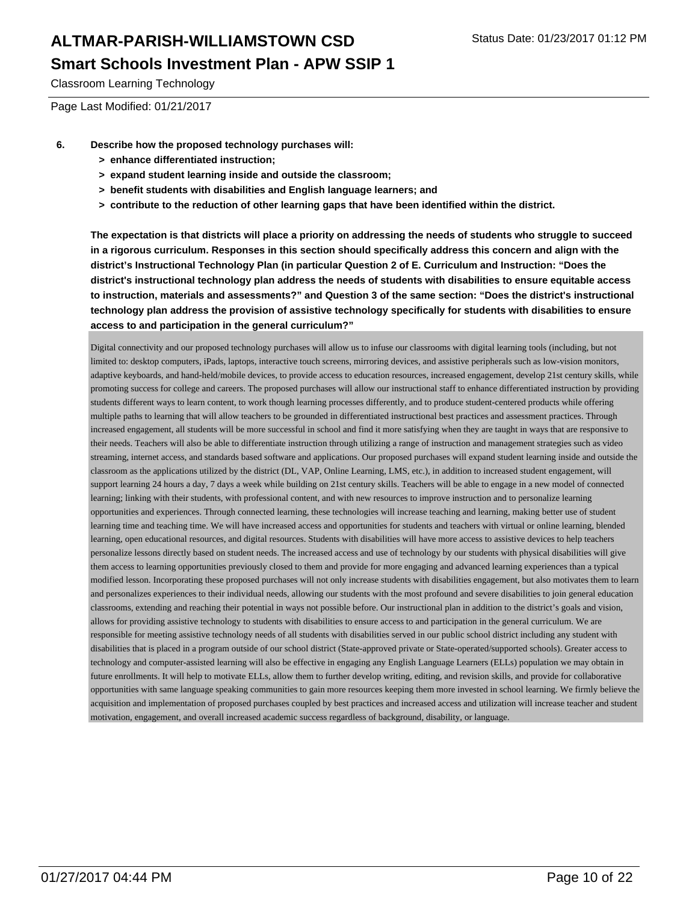Classroom Learning Technology

Page Last Modified: 01/21/2017

- **6. Describe how the proposed technology purchases will:**
	- **> enhance differentiated instruction;**
	- **> expand student learning inside and outside the classroom;**
	- **> benefit students with disabilities and English language learners; and**
	- **> contribute to the reduction of other learning gaps that have been identified within the district.**

**The expectation is that districts will place a priority on addressing the needs of students who struggle to succeed in a rigorous curriculum. Responses in this section should specifically address this concern and align with the district's Instructional Technology Plan (in particular Question 2 of E. Curriculum and Instruction: "Does the district's instructional technology plan address the needs of students with disabilities to ensure equitable access to instruction, materials and assessments?" and Question 3 of the same section: "Does the district's instructional technology plan address the provision of assistive technology specifically for students with disabilities to ensure access to and participation in the general curriculum?"**

Digital connectivity and our proposed technology purchases will allow us to infuse our classrooms with digital learning tools (including, but not limited to: desktop computers, iPads, laptops, interactive touch screens, mirroring devices, and assistive peripherals such as low-vision monitors, adaptive keyboards, and hand-held/mobile devices, to provide access to education resources, increased engagement, develop 21st century skills, while promoting success for college and careers. The proposed purchases will allow our instructional staff to enhance differentiated instruction by providing students different ways to learn content, to work though learning processes differently, and to produce student-centered products while offering multiple paths to learning that will allow teachers to be grounded in differentiated instructional best practices and assessment practices. Through increased engagement, all students will be more successful in school and find it more satisfying when they are taught in ways that are responsive to their needs. Teachers will also be able to differentiate instruction through utilizing a range of instruction and management strategies such as video streaming, internet access, and standards based software and applications. Our proposed purchases will expand student learning inside and outside the classroom as the applications utilized by the district (DL, VAP, Online Learning, LMS, etc.), in addition to increased student engagement, will support learning 24 hours a day, 7 days a week while building on 21st century skills. Teachers will be able to engage in a new model of connected learning; linking with their students, with professional content, and with new resources to improve instruction and to personalize learning opportunities and experiences. Through connected learning, these technologies will increase teaching and learning, making better use of student learning time and teaching time. We will have increased access and opportunities for students and teachers with virtual or online learning, blended learning, open educational resources, and digital resources. Students with disabilities will have more access to assistive devices to help teachers personalize lessons directly based on student needs. The increased access and use of technology by our students with physical disabilities will give them access to learning opportunities previously closed to them and provide for more engaging and advanced learning experiences than a typical modified lesson. Incorporating these proposed purchases will not only increase students with disabilities engagement, but also motivates them to learn and personalizes experiences to their individual needs, allowing our students with the most profound and severe disabilities to join general education classrooms, extending and reaching their potential in ways not possible before. Our instructional plan in addition to the district's goals and vision, allows for providing assistive technology to students with disabilities to ensure access to and participation in the general curriculum. We are responsible for meeting assistive technology needs of all students with disabilities served in our public school district including any student with disabilities that is placed in a program outside of our school district (State-approved private or State-operated/supported schools). Greater access to technology and computer-assisted learning will also be effective in engaging any English Language Learners (ELLs) population we may obtain in future enrollments. It will help to motivate ELLs, allow them to further develop writing, editing, and revision skills, and provide for collaborative opportunities with same language speaking communities to gain more resources keeping them more invested in school learning. We firmly believe the acquisition and implementation of proposed purchases coupled by best practices and increased access and utilization will increase teacher and student motivation, engagement, and overall increased academic success regardless of background, disability, or language.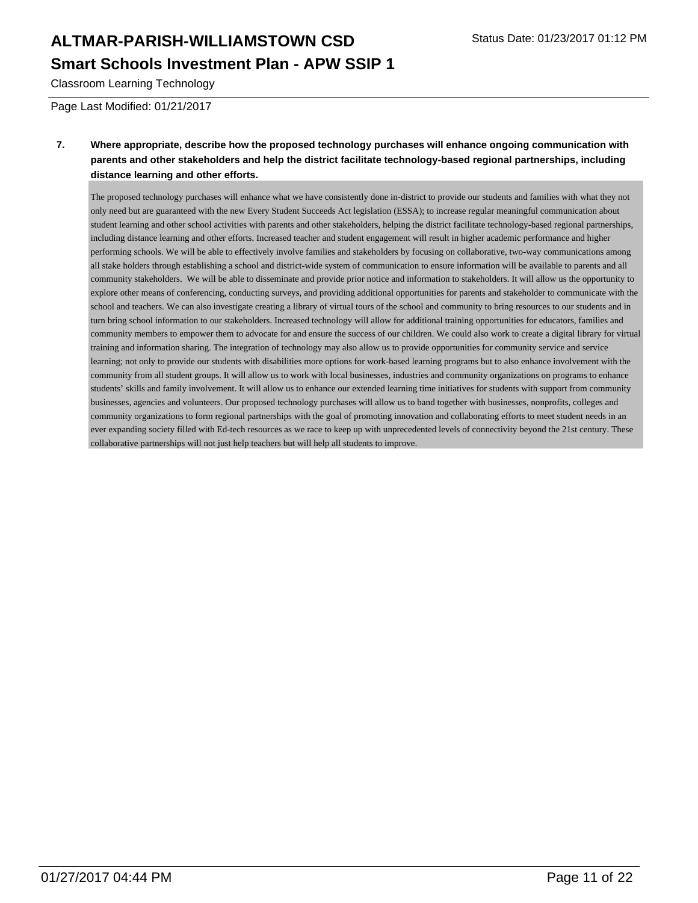Classroom Learning Technology

Page Last Modified: 01/21/2017

#### **7. Where appropriate, describe how the proposed technology purchases will enhance ongoing communication with parents and other stakeholders and help the district facilitate technology-based regional partnerships, including distance learning and other efforts.**

The proposed technology purchases will enhance what we have consistently done in-district to provide our students and families with what they not only need but are guaranteed with the new Every Student Succeeds Act legislation (ESSA); to increase regular meaningful communication about student learning and other school activities with parents and other stakeholders, helping the district facilitate technology-based regional partnerships, including distance learning and other efforts. Increased teacher and student engagement will result in higher academic performance and higher performing schools. We will be able to effectively involve families and stakeholders by focusing on collaborative, two-way communications among all stake holders through establishing a school and district-wide system of communication to ensure information will be available to parents and all community stakeholders. We will be able to disseminate and provide prior notice and information to stakeholders. It will allow us the opportunity to explore other means of conferencing, conducting surveys, and providing additional opportunities for parents and stakeholder to communicate with the school and teachers. We can also investigate creating a library of virtual tours of the school and community to bring resources to our students and in turn bring school information to our stakeholders. Increased technology will allow for additional training opportunities for educators, families and community members to empower them to advocate for and ensure the success of our children. We could also work to create a digital library for virtual training and information sharing. The integration of technology may also allow us to provide opportunities for community service and service learning; not only to provide our students with disabilities more options for work-based learning programs but to also enhance involvement with the community from all student groups. It will allow us to work with local businesses, industries and community organizations on programs to enhance students' skills and family involvement. It will allow us to enhance our extended learning time initiatives for students with support from community businesses, agencies and volunteers. Our proposed technology purchases will allow us to band together with businesses, nonprofits, colleges and community organizations to form regional partnerships with the goal of promoting innovation and collaborating efforts to meet student needs in an ever expanding society filled with Ed-tech resources as we race to keep up with unprecedented levels of connectivity beyond the 21st century. These collaborative partnerships will not just help teachers but will help all students to improve.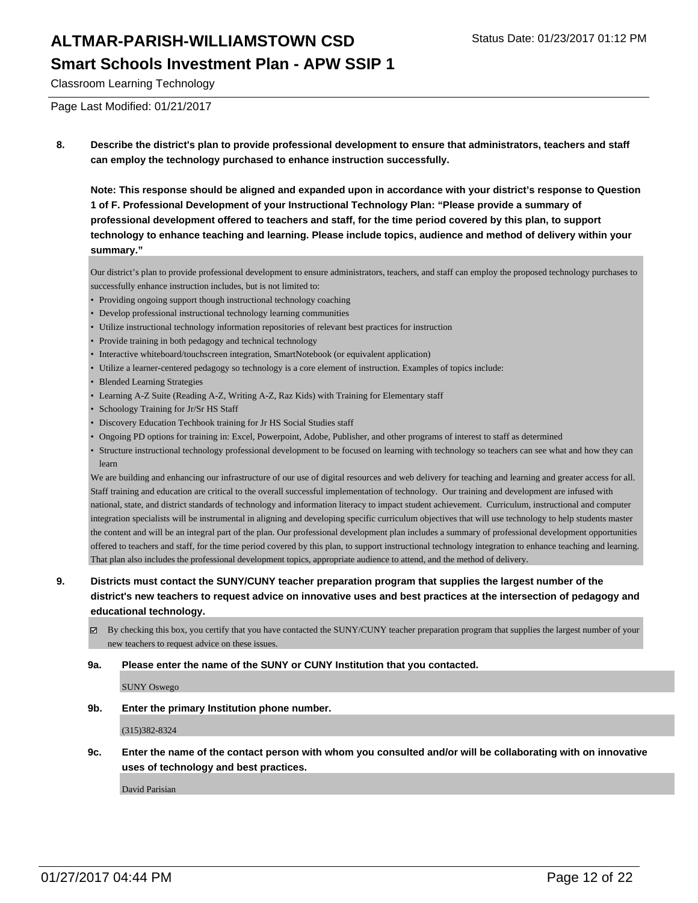Classroom Learning Technology

Page Last Modified: 01/21/2017

**8. Describe the district's plan to provide professional development to ensure that administrators, teachers and staff can employ the technology purchased to enhance instruction successfully.**

**Note: This response should be aligned and expanded upon in accordance with your district's response to Question 1 of F. Professional Development of your Instructional Technology Plan: "Please provide a summary of professional development offered to teachers and staff, for the time period covered by this plan, to support technology to enhance teaching and learning. Please include topics, audience and method of delivery within your summary."**

Our district's plan to provide professional development to ensure administrators, teachers, and staff can employ the proposed technology purchases to successfully enhance instruction includes, but is not limited to:

- Providing ongoing support though instructional technology coaching
- Develop professional instructional technology learning communities
- Utilize instructional technology information repositories of relevant best practices for instruction
- Provide training in both pedagogy and technical technology
- Interactive whiteboard/touchscreen integration, SmartNotebook (or equivalent application)
- Utilize a learner-centered pedagogy so technology is a core element of instruction. Examples of topics include:
- Blended Learning Strategies
- Learning A-Z Suite (Reading A-Z, Writing A-Z, Raz Kids) with Training for Elementary staff
- Schoology Training for Jr/Sr HS Staff
- Discovery Education Techbook training for Jr HS Social Studies staff
- Ongoing PD options for training in: Excel, Powerpoint, Adobe, Publisher, and other programs of interest to staff as determined
- Structure instructional technology professional development to be focused on learning with technology so teachers can see what and how they can learn

We are building and enhancing our infrastructure of our use of digital resources and web delivery for teaching and learning and greater access for all. Staff training and education are critical to the overall successful implementation of technology. Our training and development are infused with national, state, and district standards of technology and information literacy to impact student achievement. Curriculum, instructional and computer integration specialists will be instrumental in aligning and developing specific curriculum objectives that will use technology to help students master the content and will be an integral part of the plan. Our professional development plan includes a summary of professional development opportunities offered to teachers and staff, for the time period covered by this plan, to support instructional technology integration to enhance teaching and learning. That plan also includes the professional development topics, appropriate audience to attend, and the method of delivery.

**9. Districts must contact the SUNY/CUNY teacher preparation program that supplies the largest number of the district's new teachers to request advice on innovative uses and best practices at the intersection of pedagogy and educational technology.**

 $\boxtimes$  By checking this box, you certify that you have contacted the SUNY/CUNY teacher preparation program that supplies the largest number of your new teachers to request advice on these issues.

#### **9a. Please enter the name of the SUNY or CUNY Institution that you contacted.**

SUNY Oswego

**9b. Enter the primary Institution phone number.**

(315)382-8324

**9c. Enter the name of the contact person with whom you consulted and/or will be collaborating with on innovative uses of technology and best practices.**

David Parisian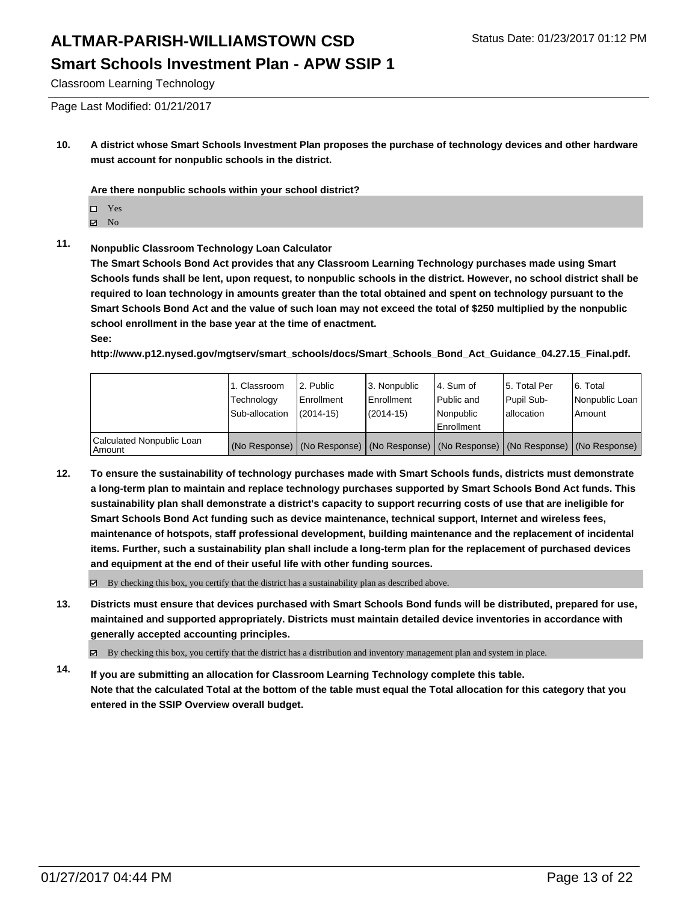Classroom Learning Technology

Page Last Modified: 01/21/2017

**10. A district whose Smart Schools Investment Plan proposes the purchase of technology devices and other hardware must account for nonpublic schools in the district.**

**Are there nonpublic schools within your school district?**

- Yes
- **Z** No
- **11. Nonpublic Classroom Technology Loan Calculator**

**The Smart Schools Bond Act provides that any Classroom Learning Technology purchases made using Smart Schools funds shall be lent, upon request, to nonpublic schools in the district. However, no school district shall be required to loan technology in amounts greater than the total obtained and spent on technology pursuant to the Smart Schools Bond Act and the value of such loan may not exceed the total of \$250 multiplied by the nonpublic school enrollment in the base year at the time of enactment. See:**

**http://www.p12.nysed.gov/mgtserv/smart\_schools/docs/Smart\_Schools\_Bond\_Act\_Guidance\_04.27.15\_Final.pdf.**

|                                     | 1. Classroom<br>Technology<br>Sub-allocation | 2. Public<br>Enrollment<br>$(2014 - 15)$ | 3. Nonpublic<br><b>Enrollment</b><br>(2014-15) | 4. Sum of<br>l Public and<br>Nonpublic<br>Enrollment                                          | 15. Total Per<br>Pupil Sub-<br>lallocation | 6. Total<br>Nonpublic Loan<br>Amount |
|-------------------------------------|----------------------------------------------|------------------------------------------|------------------------------------------------|-----------------------------------------------------------------------------------------------|--------------------------------------------|--------------------------------------|
| Calculated Nonpublic Loan<br>Amount |                                              |                                          |                                                | (No Response)   (No Response)   (No Response)   (No Response)   (No Response)   (No Response) |                                            |                                      |

**12. To ensure the sustainability of technology purchases made with Smart Schools funds, districts must demonstrate a long-term plan to maintain and replace technology purchases supported by Smart Schools Bond Act funds. This sustainability plan shall demonstrate a district's capacity to support recurring costs of use that are ineligible for Smart Schools Bond Act funding such as device maintenance, technical support, Internet and wireless fees, maintenance of hotspots, staff professional development, building maintenance and the replacement of incidental items. Further, such a sustainability plan shall include a long-term plan for the replacement of purchased devices and equipment at the end of their useful life with other funding sources.**

 $\boxtimes$  By checking this box, you certify that the district has a sustainability plan as described above.

**13. Districts must ensure that devices purchased with Smart Schools Bond funds will be distributed, prepared for use, maintained and supported appropriately. Districts must maintain detailed device inventories in accordance with generally accepted accounting principles.**

By checking this box, you certify that the district has a distribution and inventory management plan and system in place.

**14. If you are submitting an allocation for Classroom Learning Technology complete this table. Note that the calculated Total at the bottom of the table must equal the Total allocation for this category that you entered in the SSIP Overview overall budget.**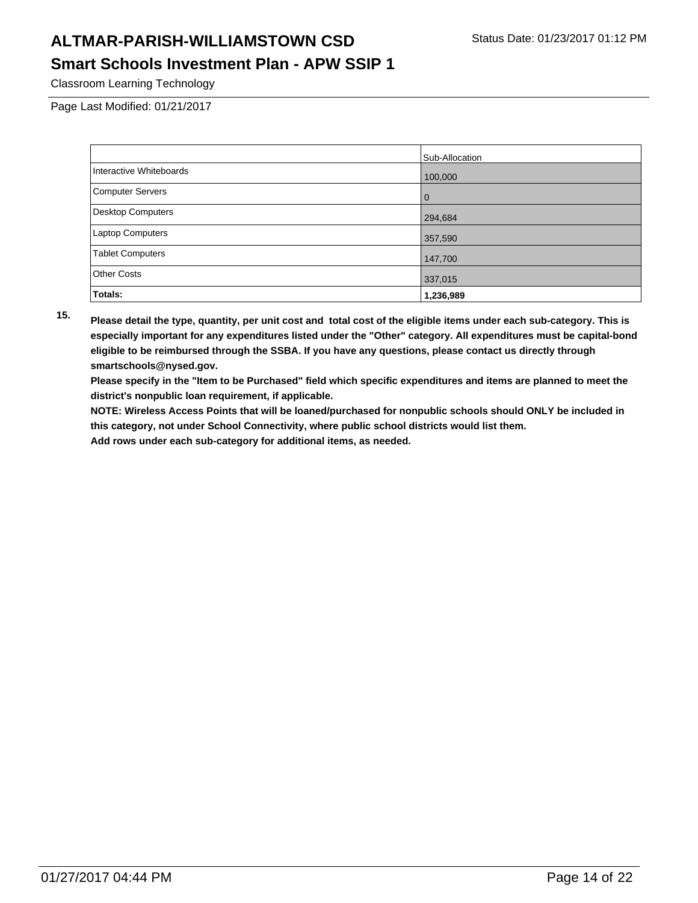## **ALTMAR-PARISH-WILLIAMSTOWN CSD** Status Date: 01/23/2017 01:12 PM

### **Smart Schools Investment Plan - APW SSIP 1**

Classroom Learning Technology

Page Last Modified: 01/21/2017

|                          | Sub-Allocation |
|--------------------------|----------------|
| Interactive Whiteboards  | 100,000        |
| <b>Computer Servers</b>  | 0              |
| <b>Desktop Computers</b> | 294,684        |
| Laptop Computers         | 357,590        |
| <b>Tablet Computers</b>  | 147,700        |
| <b>Other Costs</b>       | 337,015        |
| Totals:                  | 1,236,989      |

**15. Please detail the type, quantity, per unit cost and total cost of the eligible items under each sub-category. This is especially important for any expenditures listed under the "Other" category. All expenditures must be capital-bond eligible to be reimbursed through the SSBA. If you have any questions, please contact us directly through smartschools@nysed.gov.**

**Please specify in the "Item to be Purchased" field which specific expenditures and items are planned to meet the district's nonpublic loan requirement, if applicable.**

**NOTE: Wireless Access Points that will be loaned/purchased for nonpublic schools should ONLY be included in this category, not under School Connectivity, where public school districts would list them.**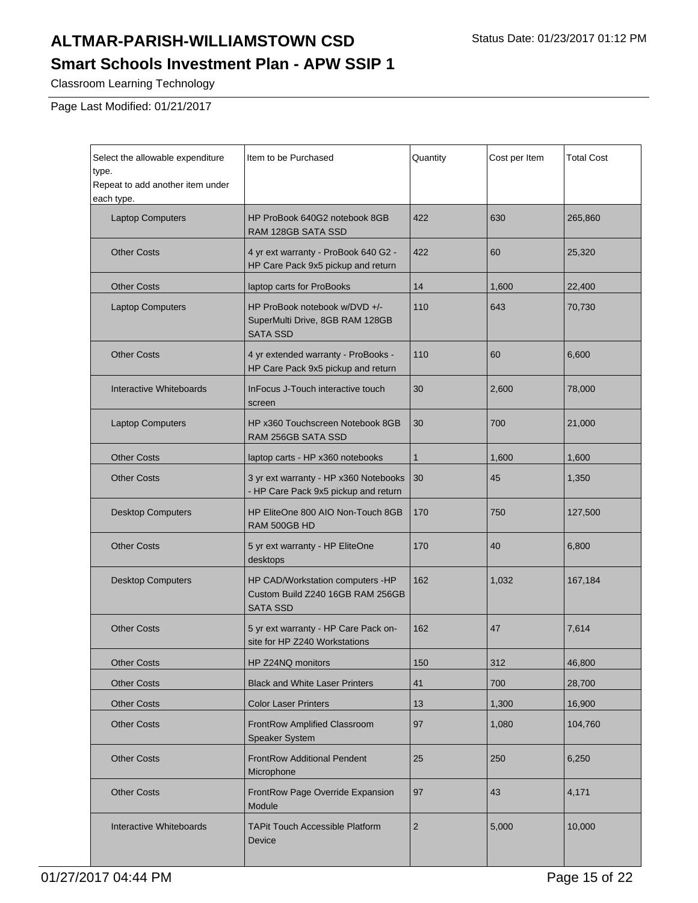Classroom Learning Technology

Page Last Modified: 01/21/2017

| Select the allowable expenditure<br>type.<br>Repeat to add another item under<br>each type. | Item to be Purchased                                                                    | Quantity       | Cost per Item | <b>Total Cost</b> |
|---------------------------------------------------------------------------------------------|-----------------------------------------------------------------------------------------|----------------|---------------|-------------------|
| <b>Laptop Computers</b>                                                                     | HP ProBook 640G2 notebook 8GB<br>RAM 128GB SATA SSD                                     | 422            | 630           | 265,860           |
| <b>Other Costs</b>                                                                          | 4 yr ext warranty - ProBook 640 G2 -<br>HP Care Pack 9x5 pickup and return              | 422            | 60            | 25,320            |
| <b>Other Costs</b>                                                                          | laptop carts for ProBooks                                                               | 14             | 1,600         | 22,400            |
| <b>Laptop Computers</b>                                                                     | HP ProBook notebook w/DVD +/-<br>SuperMulti Drive, 8GB RAM 128GB<br><b>SATA SSD</b>     | 110            | 643           | 70,730            |
| <b>Other Costs</b>                                                                          | 4 yr extended warranty - ProBooks -<br>HP Care Pack 9x5 pickup and return               | 110            | 60            | 6,600             |
| Interactive Whiteboards                                                                     | InFocus J-Touch interactive touch<br>screen                                             | 30             | 2,600         | 78,000            |
| <b>Laptop Computers</b>                                                                     | HP x360 Touchscreen Notebook 8GB<br>RAM 256GB SATA SSD                                  | 30             | 700           | 21,000            |
| <b>Other Costs</b>                                                                          | laptop carts - HP x360 notebooks                                                        | $\mathbf{1}$   | 1,600         | 1,600             |
| <b>Other Costs</b>                                                                          | 3 yr ext warranty - HP x360 Notebooks<br>- HP Care Pack 9x5 pickup and return           | 30             | 45            | 1,350             |
| <b>Desktop Computers</b>                                                                    | HP EliteOne 800 AIO Non-Touch 8GB<br>RAM 500GB HD                                       | 170            | 750           | 127,500           |
| <b>Other Costs</b>                                                                          | 5 yr ext warranty - HP EliteOne<br>desktops                                             | 170            | 40            | 6,800             |
| <b>Desktop Computers</b>                                                                    | HP CAD/Workstation computers -HP<br>Custom Build Z240 16GB RAM 256GB<br><b>SATA SSD</b> | 162            | 1,032         | 167,184           |
| <b>Other Costs</b>                                                                          | 5 yr ext warranty - HP Care Pack on-<br>site for HP Z240 Workstations                   | 162            | 47            | 7,614             |
| <b>Other Costs</b>                                                                          | HP Z24NQ monitors                                                                       | 150            | 312           | 46,800            |
| <b>Other Costs</b>                                                                          | <b>Black and White Laser Printers</b>                                                   | 41             | 700           | 28,700            |
| <b>Other Costs</b>                                                                          | <b>Color Laser Printers</b>                                                             | 13             | 1,300         | 16,900            |
| <b>Other Costs</b>                                                                          | FrontRow Amplified Classroom<br>Speaker System                                          | 97             | 1,080         | 104,760           |
| <b>Other Costs</b>                                                                          | <b>FrontRow Additional Pendent</b><br>Microphone                                        | 25             | 250           | 6,250             |
| <b>Other Costs</b>                                                                          | FrontRow Page Override Expansion<br>Module                                              | 97             | 43            | 4,171             |
| Interactive Whiteboards                                                                     | <b>TAPit Touch Accessible Platform</b><br>Device                                        | $\overline{2}$ | 5,000         | 10,000            |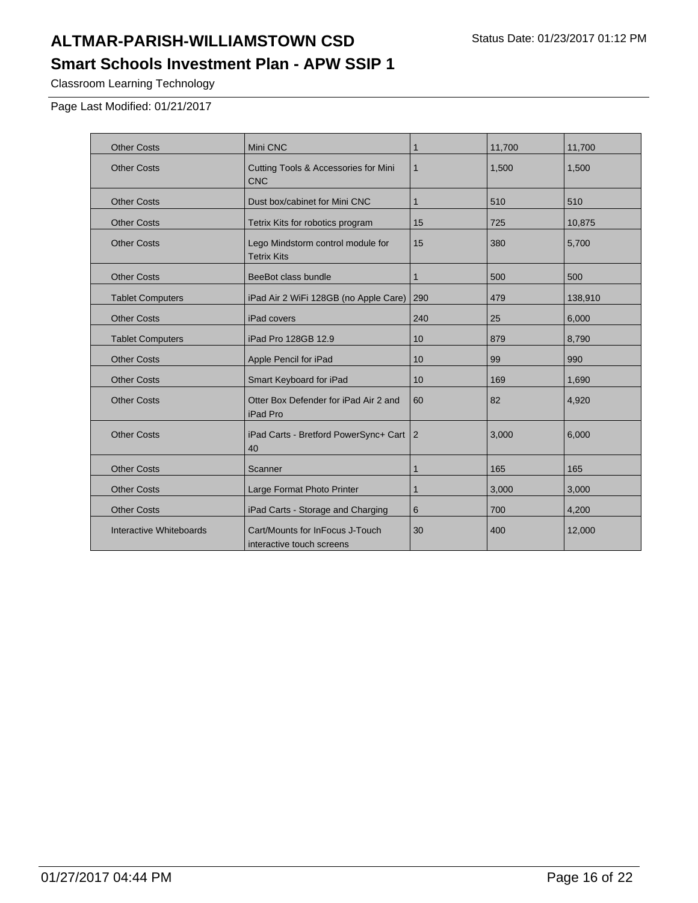# **ALTMAR-PARISH-WILLIAMSTOWN CSD** Status Date: 01/23/2017 01:12 PM

**Smart Schools Investment Plan - APW SSIP 1**

Classroom Learning Technology

Page Last Modified: 01/21/2017

| <b>Other Costs</b>      | Mini CNC                                                      | 1            | 11,700 | 11,700  |
|-------------------------|---------------------------------------------------------------|--------------|--------|---------|
| <b>Other Costs</b>      | <b>Cutting Tools &amp; Accessories for Mini</b><br><b>CNC</b> | $\mathbf{1}$ | 1,500  | 1,500   |
| <b>Other Costs</b>      | Dust box/cabinet for Mini CNC                                 | $\mathbf{1}$ | 510    | 510     |
| <b>Other Costs</b>      | Tetrix Kits for robotics program                              | 15           | 725    | 10,875  |
| <b>Other Costs</b>      | Lego Mindstorm control module for<br><b>Tetrix Kits</b>       | 15           | 380    | 5,700   |
| <b>Other Costs</b>      | BeeBot class bundle                                           | 1            | 500    | 500     |
| <b>Tablet Computers</b> | iPad Air 2 WiFi 128GB (no Apple Care)                         | 290          | 479    | 138,910 |
| <b>Other Costs</b>      | iPad covers                                                   | 240          | 25     | 6,000   |
| <b>Tablet Computers</b> | iPad Pro 128GB 12.9                                           | 10           | 879    | 8,790   |
| <b>Other Costs</b>      | Apple Pencil for iPad                                         | 10           | 99     | 990     |
| <b>Other Costs</b>      | Smart Keyboard for iPad                                       | 10           | 169    | 1,690   |
| <b>Other Costs</b>      | Otter Box Defender for iPad Air 2 and<br>iPad Pro             | 60           | 82     | 4,920   |
| <b>Other Costs</b>      | iPad Carts - Bretford PowerSync+ Cart<br>40                   | 2            | 3,000  | 6,000   |
| <b>Other Costs</b>      | Scanner                                                       | $\mathbf{1}$ | 165    | 165     |
| <b>Other Costs</b>      | Large Format Photo Printer                                    | 1            | 3,000  | 3,000   |
| <b>Other Costs</b>      | iPad Carts - Storage and Charging                             | 6            | 700    | 4,200   |
| Interactive Whiteboards | Cart/Mounts for InFocus J-Touch<br>interactive touch screens  | 30           | 400    | 12,000  |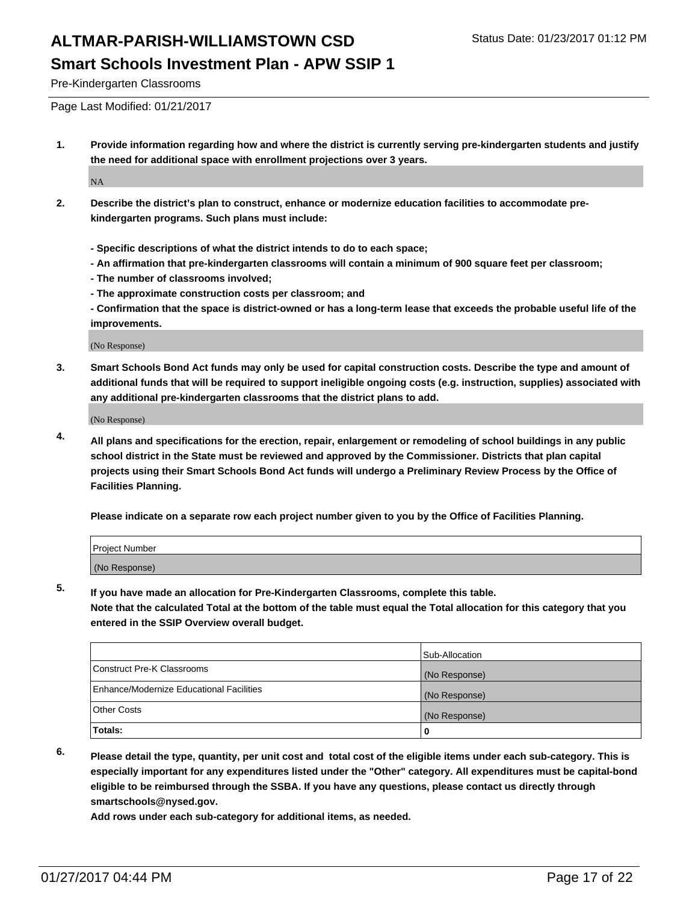Pre-Kindergarten Classrooms

Page Last Modified: 01/21/2017

**1. Provide information regarding how and where the district is currently serving pre-kindergarten students and justify the need for additional space with enrollment projections over 3 years.**

NA

- **2. Describe the district's plan to construct, enhance or modernize education facilities to accommodate prekindergarten programs. Such plans must include:**
	- **Specific descriptions of what the district intends to do to each space;**
	- **An affirmation that pre-kindergarten classrooms will contain a minimum of 900 square feet per classroom;**
	- **The number of classrooms involved;**
	- **The approximate construction costs per classroom; and**
	- **Confirmation that the space is district-owned or has a long-term lease that exceeds the probable useful life of the improvements.**

(No Response)

**3. Smart Schools Bond Act funds may only be used for capital construction costs. Describe the type and amount of additional funds that will be required to support ineligible ongoing costs (e.g. instruction, supplies) associated with any additional pre-kindergarten classrooms that the district plans to add.**

(No Response)

**4. All plans and specifications for the erection, repair, enlargement or remodeling of school buildings in any public school district in the State must be reviewed and approved by the Commissioner. Districts that plan capital projects using their Smart Schools Bond Act funds will undergo a Preliminary Review Process by the Office of Facilities Planning.**

**Please indicate on a separate row each project number given to you by the Office of Facilities Planning.**

| Project Number |  |  |
|----------------|--|--|
| (No Response)  |  |  |

**5. If you have made an allocation for Pre-Kindergarten Classrooms, complete this table.**

**Note that the calculated Total at the bottom of the table must equal the Total allocation for this category that you entered in the SSIP Overview overall budget.**

|                                          | Sub-Allocation |
|------------------------------------------|----------------|
| Construct Pre-K Classrooms               | (No Response)  |
| Enhance/Modernize Educational Facilities | (No Response)  |
| Other Costs                              | (No Response)  |
| Totals:                                  |                |

**6. Please detail the type, quantity, per unit cost and total cost of the eligible items under each sub-category. This is especially important for any expenditures listed under the "Other" category. All expenditures must be capital-bond eligible to be reimbursed through the SSBA. If you have any questions, please contact us directly through smartschools@nysed.gov.**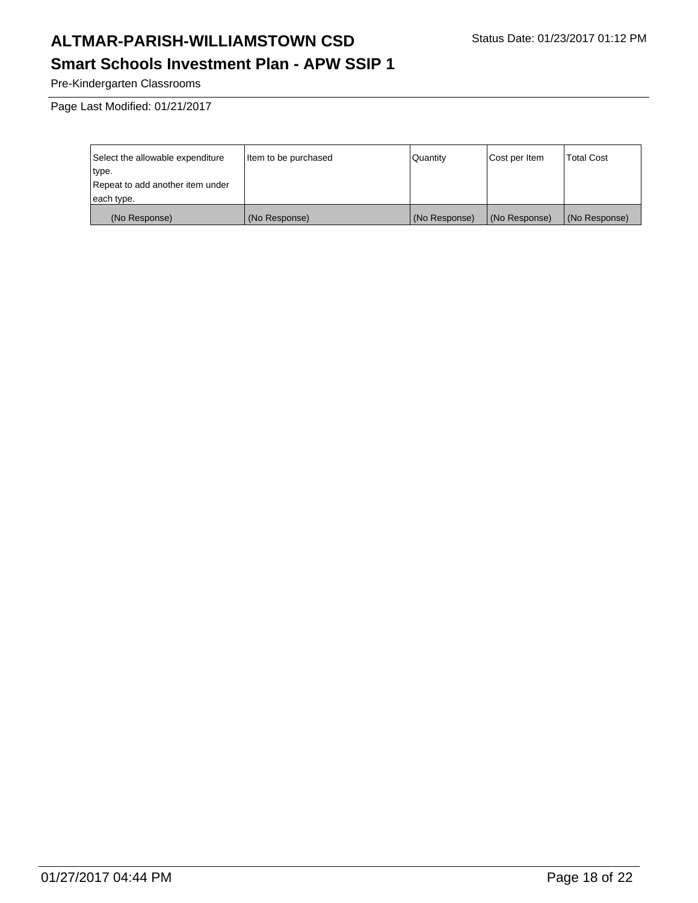Pre-Kindergarten Classrooms

Page Last Modified: 01/21/2017

| Select the allowable expenditure | litem to be purchased | Quantity      | Cost per Item | <b>Total Cost</b> |
|----------------------------------|-----------------------|---------------|---------------|-------------------|
| type.                            |                       |               |               |                   |
| Repeat to add another item under |                       |               |               |                   |
| each type.                       |                       |               |               |                   |
| (No Response)                    | (No Response)         | (No Response) | (No Response) | (No Response)     |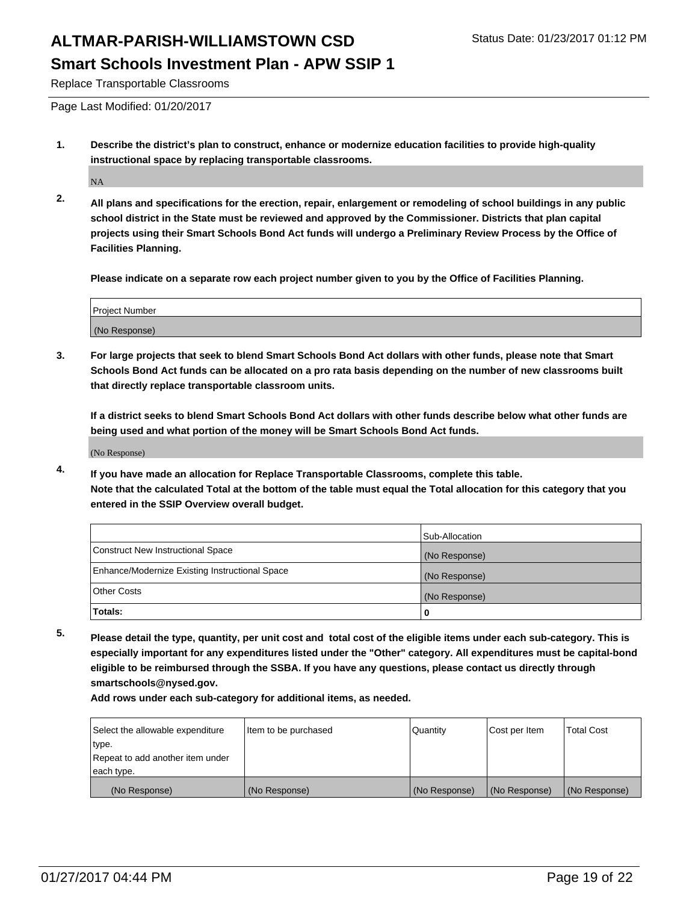Replace Transportable Classrooms

Page Last Modified: 01/20/2017

**1. Describe the district's plan to construct, enhance or modernize education facilities to provide high-quality instructional space by replacing transportable classrooms.**

NA

**2. All plans and specifications for the erection, repair, enlargement or remodeling of school buildings in any public school district in the State must be reviewed and approved by the Commissioner. Districts that plan capital projects using their Smart Schools Bond Act funds will undergo a Preliminary Review Process by the Office of Facilities Planning.**

**Please indicate on a separate row each project number given to you by the Office of Facilities Planning.**

| <b>Project Number</b> |  |
|-----------------------|--|
| (No Response)         |  |

**3. For large projects that seek to blend Smart Schools Bond Act dollars with other funds, please note that Smart Schools Bond Act funds can be allocated on a pro rata basis depending on the number of new classrooms built that directly replace transportable classroom units.**

**If a district seeks to blend Smart Schools Bond Act dollars with other funds describe below what other funds are being used and what portion of the money will be Smart Schools Bond Act funds.**

(No Response)

**4. If you have made an allocation for Replace Transportable Classrooms, complete this table. Note that the calculated Total at the bottom of the table must equal the Total allocation for this category that you entered in the SSIP Overview overall budget.**

|                                                | Sub-Allocation |
|------------------------------------------------|----------------|
| Construct New Instructional Space              | (No Response)  |
| Enhance/Modernize Existing Instructional Space | (No Response)  |
| <b>Other Costs</b>                             | (No Response)  |
| Totals:                                        |                |

**5. Please detail the type, quantity, per unit cost and total cost of the eligible items under each sub-category. This is especially important for any expenditures listed under the "Other" category. All expenditures must be capital-bond eligible to be reimbursed through the SSBA. If you have any questions, please contact us directly through smartschools@nysed.gov.**

| Select the allowable expenditure | litem to be purchased | Quantity      | Cost per Item | <b>Total Cost</b> |
|----------------------------------|-----------------------|---------------|---------------|-------------------|
| type.                            |                       |               |               |                   |
| Repeat to add another item under |                       |               |               |                   |
| each type.                       |                       |               |               |                   |
| (No Response)                    | (No Response)         | (No Response) | (No Response) | (No Response)     |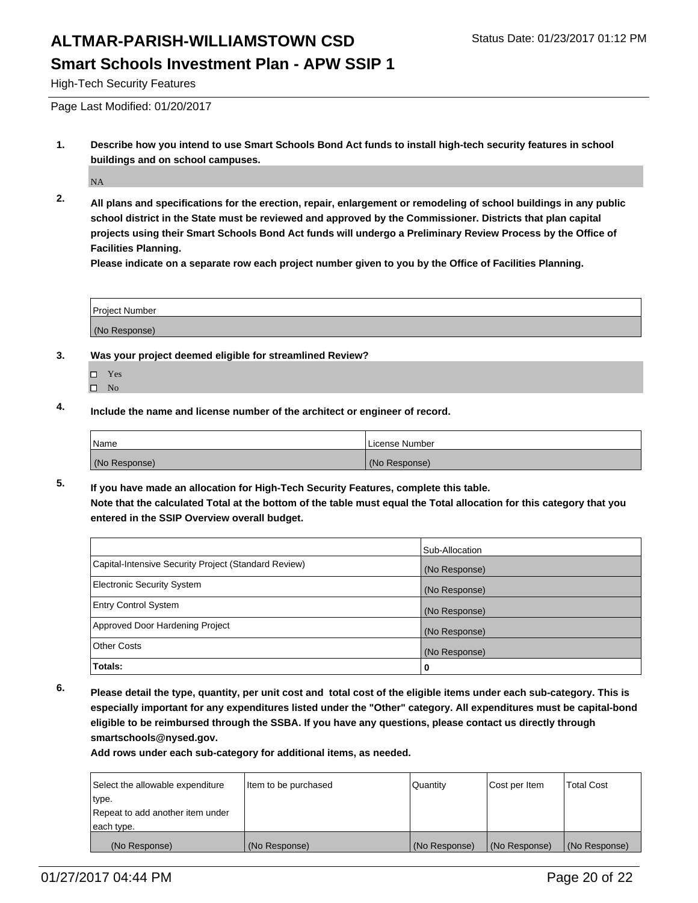### **Smart Schools Investment Plan - APW SSIP 1**

High-Tech Security Features

Page Last Modified: 01/20/2017

**1. Describe how you intend to use Smart Schools Bond Act funds to install high-tech security features in school buildings and on school campuses.**

NA

**2. All plans and specifications for the erection, repair, enlargement or remodeling of school buildings in any public school district in the State must be reviewed and approved by the Commissioner. Districts that plan capital projects using their Smart Schools Bond Act funds will undergo a Preliminary Review Process by the Office of Facilities Planning.** 

**Please indicate on a separate row each project number given to you by the Office of Facilities Planning.**

| <b>Project Number</b> |  |
|-----------------------|--|
| (No Response)         |  |

- **3. Was your project deemed eligible for streamlined Review?**
	- □ Yes
	- $\square$  No
- **4. Include the name and license number of the architect or engineer of record.**

| Name          | License Number |
|---------------|----------------|
| (No Response) | (No Response)  |

**5. If you have made an allocation for High-Tech Security Features, complete this table. Note that the calculated Total at the bottom of the table must equal the Total allocation for this category that you entered in the SSIP Overview overall budget.**

|                                                      | Sub-Allocation |
|------------------------------------------------------|----------------|
| Capital-Intensive Security Project (Standard Review) | (No Response)  |
| <b>Electronic Security System</b>                    | (No Response)  |
| <b>Entry Control System</b>                          | (No Response)  |
| Approved Door Hardening Project                      | (No Response)  |
| <b>Other Costs</b>                                   | (No Response)  |
| Totals:                                              | 0              |

**6. Please detail the type, quantity, per unit cost and total cost of the eligible items under each sub-category. This is especially important for any expenditures listed under the "Other" category. All expenditures must be capital-bond eligible to be reimbursed through the SSBA. If you have any questions, please contact us directly through smartschools@nysed.gov.**

| Select the allowable expenditure | Item to be purchased | <b>Quantity</b> | Cost per Item | <b>Total Cost</b> |
|----------------------------------|----------------------|-----------------|---------------|-------------------|
| type.                            |                      |                 |               |                   |
| Repeat to add another item under |                      |                 |               |                   |
| each type.                       |                      |                 |               |                   |
| (No Response)                    | (No Response)        | (No Response)   | (No Response) | (No Response)     |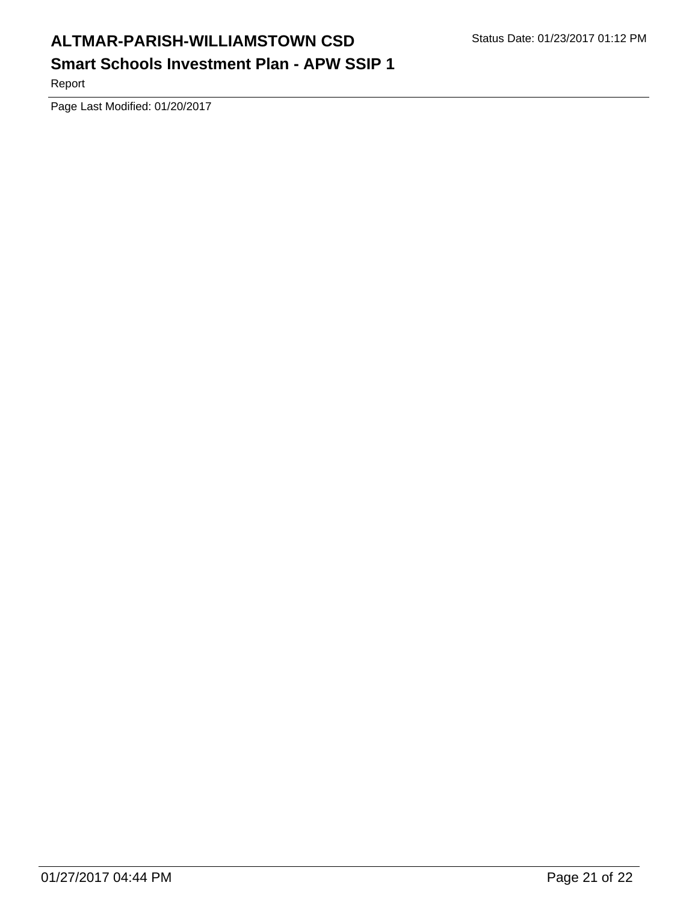Report

Page Last Modified: 01/20/2017